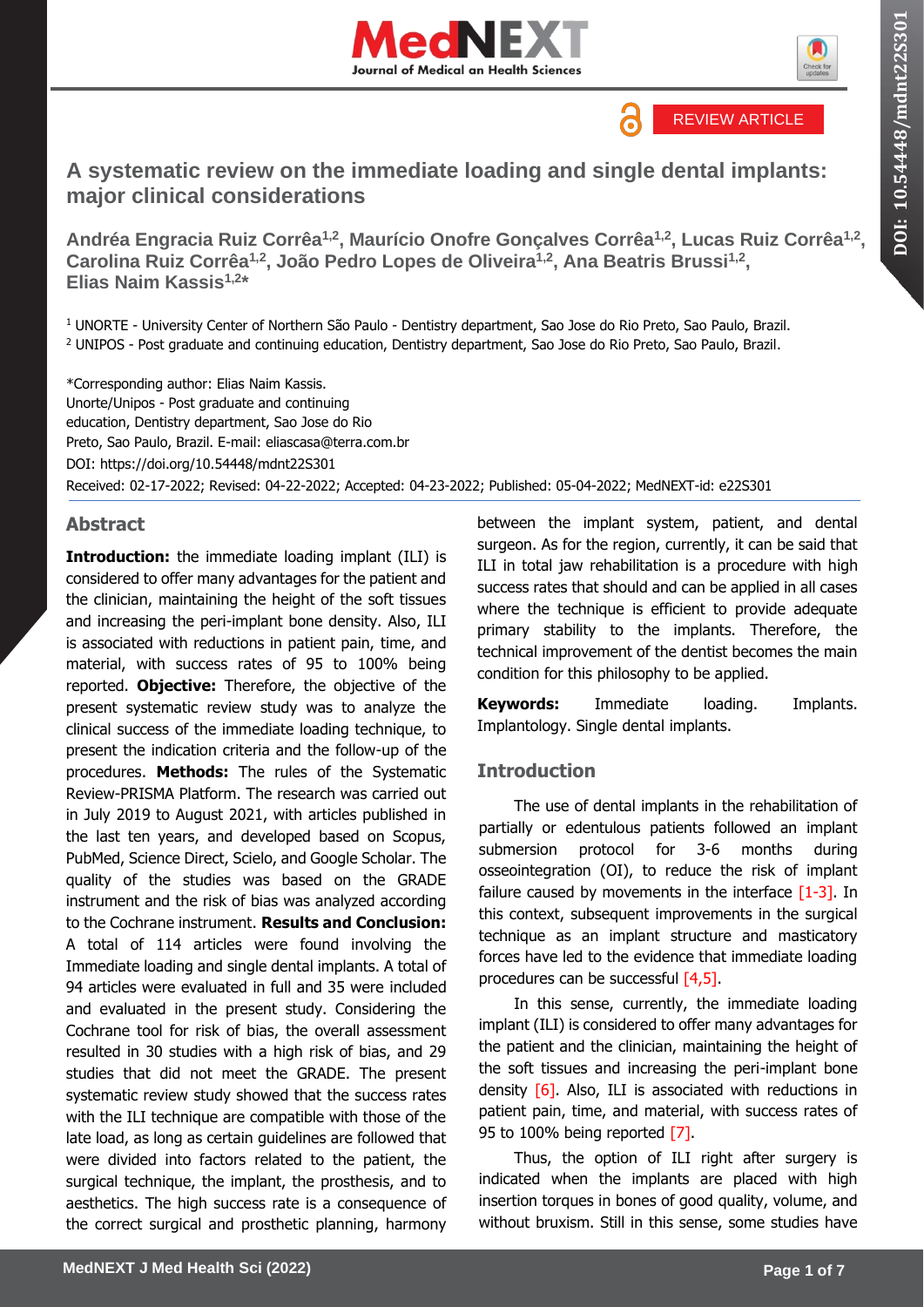

**DOI: 10.54448/mdnt22S301**

DOI: 10.54448/mdnt22S301



# **A systematic review on the immediate loading and single dental implants: major clinical considerations**

**Andréa Engracia Ruiz Corrêa1,2, Maurício Onofre Gonçalves Corrêa1,2, Lucas Ruiz Corrêa1,2 , Carolina Ruiz Corrêa1,2, João Pedro Lopes de Oliveira1,2, Ana Beatris Brussi1,2 , Elias Naim Kassis1,2 \***

<sup>1</sup> UNORTE - University Center of Northern São Paulo - Dentistry department, Sao Jose do Rio Preto, Sao Paulo, Brazil. <sup>2</sup> UNIPOS - Post graduate and continuing education, Dentistry department, Sao Jose do Rio Preto, Sao Paulo, Brazil.

\*Corresponding author: Elias Naim Kassis. Unorte/Unipos - Post graduate and continuing education, Dentistry department, Sao Jose do Rio Preto, Sao Paulo, Brazil. E-mail: eliascasa@terra.com.br DOI:<https://doi.org/10.54448/mdnt22S301> Received: 02-17-2022; Revised: 04-22-2022; Accepted: 04-23-2022; Published: 05-04-2022; MedNEXT-id: e22S301

# **Abstract**

**Introduction:** the immediate loading implant (ILI) is considered to offer many advantages for the patient and the clinician, maintaining the height of the soft tissues and increasing the peri-implant bone density. Also, ILI is associated with reductions in patient pain, time, and material, with success rates of 95 to 100% being reported. **Objective:** Therefore, the objective of the present systematic review study was to analyze the clinical success of the immediate loading technique, to present the indication criteria and the follow-up of the procedures. **Methods:** The rules of the Systematic Review-PRISMA Platform. The research was carried out in July 2019 to August 2021, with articles published in the last ten years, and developed based on Scopus, PubMed, Science Direct, Scielo, and Google Scholar. The quality of the studies was based on the GRADE instrument and the risk of bias was analyzed according to the Cochrane instrument. **Results and Conclusion:** A total of 114 articles were found involving the Immediate loading and single dental implants. A total of 94 articles were evaluated in full and 35 were included and evaluated in the present study. Considering the Cochrane tool for risk of bias, the overall assessment resulted in 30 studies with a high risk of bias, and 29 studies that did not meet the GRADE. The present systematic review study showed that the success rates with the ILI technique are compatible with those of the late load, as long as certain guidelines are followed that were divided into factors related to the patient, the surgical technique, the implant, the prosthesis, and to aesthetics. The high success rate is a consequence of the correct surgical and prosthetic planning, harmony between the implant system, patient, and dental surgeon. As for the region, currently, it can be said that ILI in total jaw rehabilitation is a procedure with high success rates that should and can be applied in all cases where the technique is efficient to provide adequate primary stability to the implants. Therefore, the technical improvement of the dentist becomes the main condition for this philosophy to be applied.

**Keywords:** Immediate loading. Implants. Implantology. Single dental implants.

# **Introduction**

The use of dental implants in the rehabilitation of partially or edentulous patients followed an implant submersion protocol for 3-6 months during osseointegration (OI), to reduce the risk of implant failure caused by movements in the interface  $[1-3]$ . In this context, subsequent improvements in the surgical technique as an implant structure and masticatory forces have led to the evidence that immediate loading procedures can be successful  $[4,5]$ .

In this sense, currently, the immediate loading implant (ILI) is considered to offer many advantages for the patient and the clinician, maintaining the height of the soft tissues and increasing the peri-implant bone density [6]. Also, ILI is associated with reductions in patient pain, time, and material, with success rates of 95 to 100% being reported [7].

Thus, the option of ILI right after surgery is indicated when the implants are placed with high insertion torques in bones of good quality, volume, and without bruxism. Still in this sense, some studies have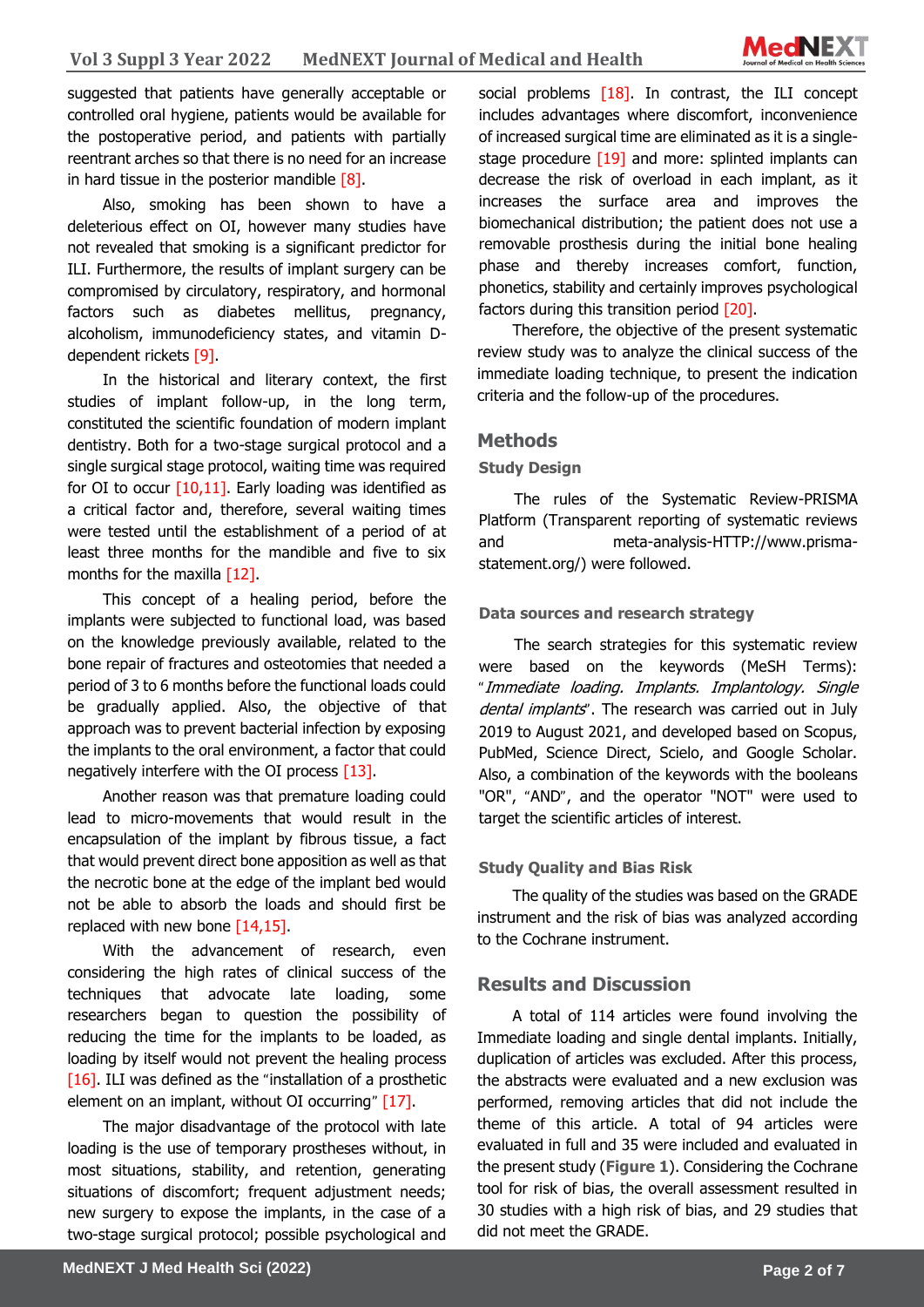

suggested that patients have generally acceptable or controlled oral hygiene, patients would be available for the postoperative period, and patients with partially reentrant arches so that there is no need for an increase in hard tissue in the posterior mandible [8].

Also, smoking has been shown to have a deleterious effect on OI, however many studies have not revealed that smoking is a significant predictor for ILI. Furthermore, the results of implant surgery can be compromised by circulatory, respiratory, and hormonal factors such as diabetes mellitus, pregnancy, alcoholism, immunodeficiency states, and vitamin Ddependent rickets [9].

In the historical and literary context, the first studies of implant follow-up, in the long term, constituted the scientific foundation of modern implant dentistry. Both for a two-stage surgical protocol and a single surgical stage protocol, waiting time was required for OI to occur  $[10,11]$ . Early loading was identified as a critical factor and, therefore, several waiting times were tested until the establishment of a period of at least three months for the mandible and five to six months for the maxilla  $[12]$ .

This concept of a healing period, before the implants were subjected to functional load, was based on the knowledge previously available, related to the bone repair of fractures and osteotomies that needed a period of 3 to 6 months before the functional loads could be gradually applied. Also, the objective of that approach was to prevent bacterial infection by exposing the implants to the oral environment, a factor that could negatively interfere with the OI process [13].

Another reason was that premature loading could lead to micro-movements that would result in the encapsulation of the implant by fibrous tissue, a fact that would prevent direct bone apposition as well as that the necrotic bone at the edge of the implant bed would not be able to absorb the loads and should first be replaced with new bone  $[14, 15]$ .

With the advancement of research, even considering the high rates of clinical success of the techniques that advocate late loading, some researchers began to question the possibility of reducing the time for the implants to be loaded, as loading by itself would not prevent the healing process [16]. ILI was defined as the "installation of a prosthetic element on an implant, without OI occurring" [17].

The major disadvantage of the protocol with late loading is the use of temporary prostheses without, in most situations, stability, and retention, generating situations of discomfort; frequent adjustment needs; new surgery to expose the implants, in the case of a two-stage surgical protocol; possible psychological and social problems [18]. In contrast, the ILI concept includes advantages where discomfort, inconvenience of increased surgical time are eliminated as it is a singlestage procedure [19] and more: splinted implants can decrease the risk of overload in each implant, as it increases the surface area and improves the biomechanical distribution; the patient does not use a removable prosthesis during the initial bone healing phase and thereby increases comfort, function, phonetics, stability and certainly improves psychological factors during this transition period [20].

Therefore, the objective of the present systematic review study was to analyze the clinical success of the immediate loading technique, to present the indication criteria and the follow-up of the procedures.

#### **Methods**

#### **Study Design**

The rules of the Systematic Review-PRISMA Platform (Transparent reporting of systematic reviews and meta-analysis-HTTP://www.prismastatement.org/) were followed.

#### **Data sources and research strategy**

The search strategies for this systematic review were based on the keywords (MeSH Terms): "Immediate loading. Implants. Implantology. Single dental implants". The research was carried out in July 2019 to August 2021, and developed based on Scopus, PubMed, Science Direct, Scielo, and Google Scholar. Also, a combination of the keywords with the booleans "OR", "AND", and the operator "NOT" were used to target the scientific articles of interest.

#### **Study Quality and Bias Risk**

The quality of the studies was based on the GRADE instrument and the risk of bias was analyzed according to the Cochrane instrument.

#### **Results and Discussion**

A total of 114 articles were found involving the Immediate loading and single dental implants. Initially, duplication of articles was excluded. After this process, the abstracts were evaluated and a new exclusion was performed, removing articles that did not include the theme of this article. A total of 94 articles were evaluated in full and 35 were included and evaluated in the present study (**Figure 1**). Considering the Cochrane tool for risk of bias, the overall assessment resulted in 30 studies with a high risk of bias, and 29 studies that did not meet the GRADE.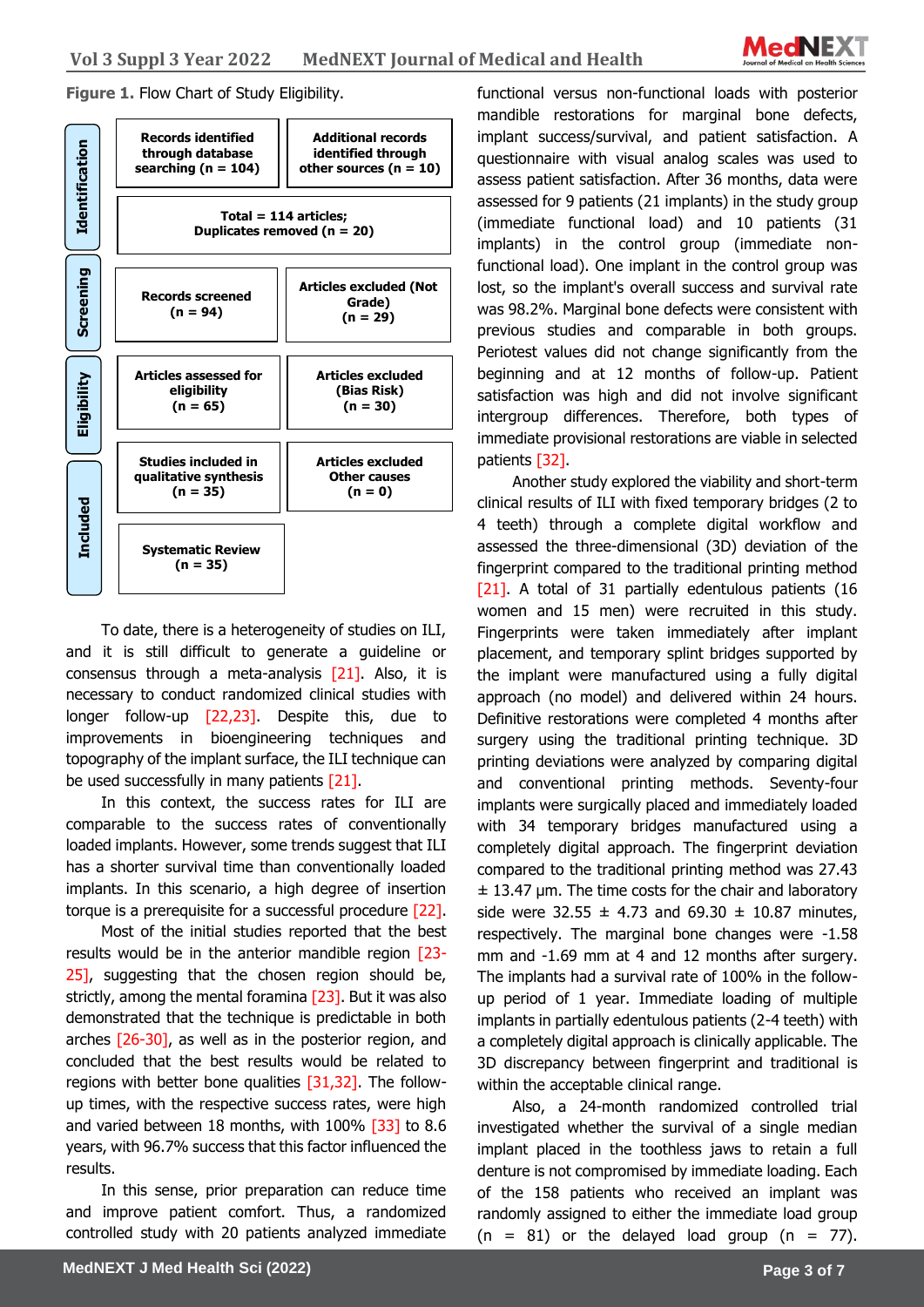

**Figure 1. Flow Chart of Study Eligibility.** 



To date, there is a heterogeneity of studies on ILI, and it is still difficult to generate a guideline or consensus through a meta-analysis  $[21]$ . Also, it is necessary to conduct randomized clinical studies with longer follow-up [22,23]. Despite this, due to improvements in bioengineering techniques and topography of the implant surface, the ILI technique can be used successfully in many patients [21].

In this context, the success rates for ILI are comparable to the success rates of conventionally loaded implants. However, some trends suggest that ILI has a shorter survival time than conventionally loaded implants. In this scenario, a high degree of insertion torque is a prerequisite for a successful procedure [22].

Most of the initial studies reported that the best results would be in the anterior mandible region [23- 25], suggesting that the chosen region should be, strictly, among the mental foramina [23]. But it was also demonstrated that the technique is predictable in both arches [26-30], as well as in the posterior region, and concluded that the best results would be related to regions with better bone qualities [31,32]. The followup times, with the respective success rates, were high and varied between 18 months, with 100% [33] to 8.6 years, with 96.7% success that this factor influenced the results.

In this sense, prior preparation can reduce time and improve patient comfort. Thus, a randomized controlled study with 20 patients analyzed immediate

functional versus non-functional loads with posterior mandible restorations for marginal bone defects, implant success/survival, and patient satisfaction. A questionnaire with visual analog scales was used to assess patient satisfaction. After 36 months, data were assessed for 9 patients (21 implants) in the study group (immediate functional load) and 10 patients (31 implants) in the control group (immediate nonfunctional load). One implant in the control group was lost, so the implant's overall success and survival rate was 98.2%. Marginal bone defects were consistent with previous studies and comparable in both groups. Periotest values did not change significantly from the beginning and at 12 months of follow-up. Patient satisfaction was high and did not involve significant intergroup differences. Therefore, both types of immediate provisional restorations are viable in selected patients [32].

Another study explored the viability and short-term clinical results of ILI with fixed temporary bridges (2 to 4 teeth) through a complete digital workflow and assessed the three-dimensional (3D) deviation of the fingerprint compared to the traditional printing method [21]. A total of 31 partially edentulous patients (16 women and 15 men) were recruited in this study. Fingerprints were taken immediately after implant placement, and temporary splint bridges supported by the implant were manufactured using a fully digital approach (no model) and delivered within 24 hours. Definitive restorations were completed 4 months after surgery using the traditional printing technique. 3D printing deviations were analyzed by comparing digital and conventional printing methods. Seventy-four implants were surgically placed and immediately loaded with 34 temporary bridges manufactured using a completely digital approach. The fingerprint deviation compared to the traditional printing method was 27.43  $\pm$  13.47 µm. The time costs for the chair and laboratory side were 32.55  $\pm$  4.73 and 69.30  $\pm$  10.87 minutes, respectively. The marginal bone changes were -1.58 mm and -1.69 mm at 4 and 12 months after surgery. The implants had a survival rate of 100% in the followup period of 1 year. Immediate loading of multiple implants in partially edentulous patients (2-4 teeth) with a completely digital approach is clinically applicable. The 3D discrepancy between fingerprint and traditional is within the acceptable clinical range.

Also, a 24-month randomized controlled trial investigated whether the survival of a single median implant placed in the toothless jaws to retain a full denture is not compromised by immediate loading. Each of the 158 patients who received an implant was randomly assigned to either the immediate load group  $(n = 81)$  or the delayed load group  $(n = 77)$ .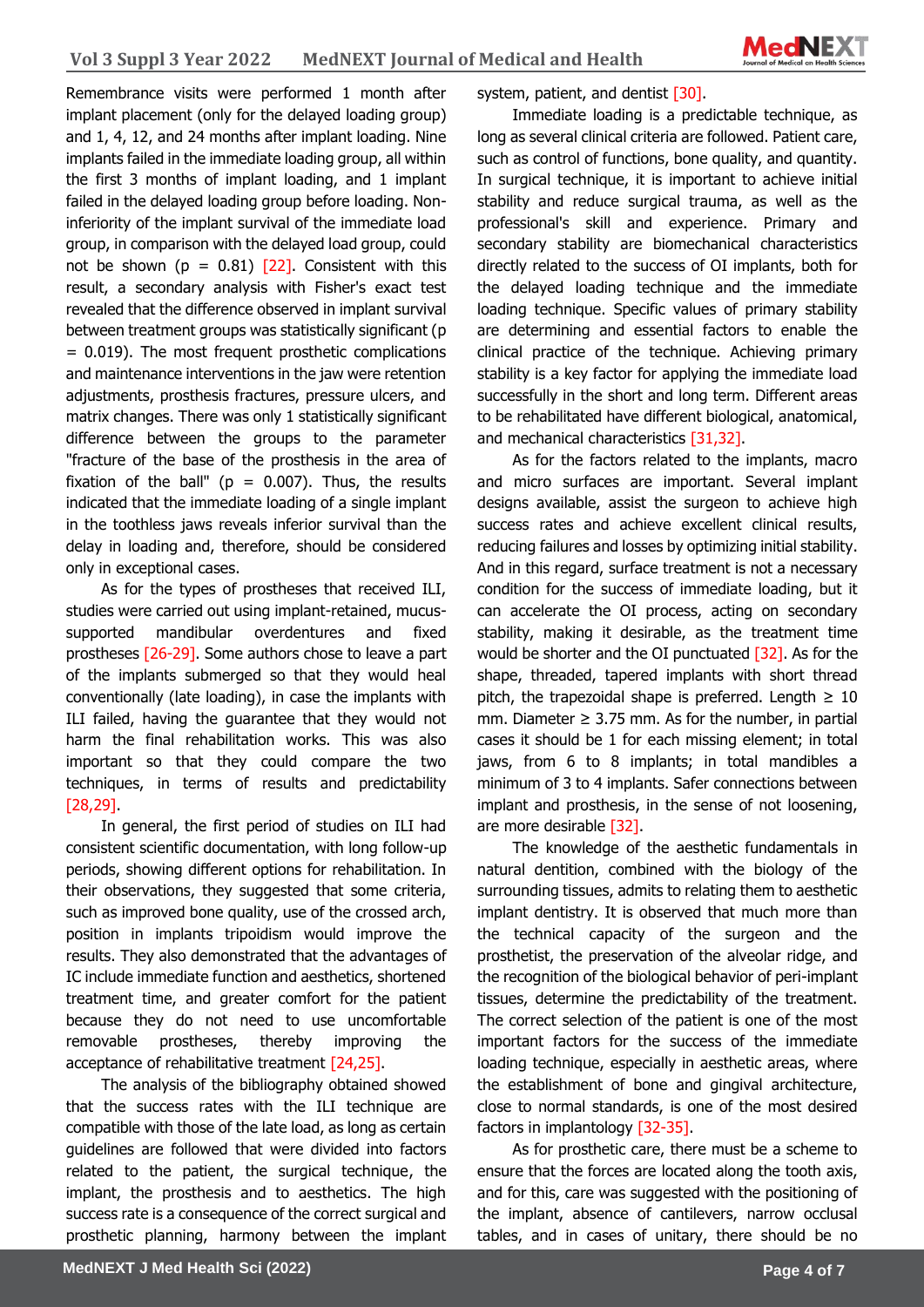Remembrance visits were performed 1 month after implant placement (only for the delayed loading group) and 1, 4, 12, and 24 months after implant loading. Nine implants failed in the immediate loading group, all within the first 3 months of implant loading, and 1 implant failed in the delayed loading group before loading. Noninferiority of the implant survival of the immediate load group, in comparison with the delayed load group, could not be shown ( $p = 0.81$ ) [22]. Consistent with this result, a secondary analysis with Fisher's exact test revealed that the difference observed in implant survival between treatment groups was statistically significant (p  $= 0.019$ ). The most frequent prosthetic complications and maintenance interventions in the jaw were retention adjustments, prosthesis fractures, pressure ulcers, and matrix changes. There was only 1 statistically significant difference between the groups to the parameter "fracture of the base of the prosthesis in the area of fixation of the ball" ( $p = 0.007$ ). Thus, the results indicated that the immediate loading of a single implant in the toothless jaws reveals inferior survival than the delay in loading and, therefore, should be considered only in exceptional cases.

As for the types of prostheses that received ILI, studies were carried out using implant-retained, mucussupported mandibular overdentures and fixed prostheses [26-29]. Some authors chose to leave a part of the implants submerged so that they would heal conventionally (late loading), in case the implants with ILI failed, having the guarantee that they would not harm the final rehabilitation works. This was also important so that they could compare the two techniques, in terms of results and predictability [28,29].

In general, the first period of studies on ILI had consistent scientific documentation, with long follow-up periods, showing different options for rehabilitation. In their observations, they suggested that some criteria, such as improved bone quality, use of the crossed arch, position in implants tripoidism would improve the results. They also demonstrated that the advantages of IC include immediate function and aesthetics, shortened treatment time, and greater comfort for the patient because they do not need to use uncomfortable removable prostheses, thereby improving the acceptance of rehabilitative treatment [24,25].

The analysis of the bibliography obtained showed that the success rates with the ILI technique are compatible with those of the late load, as long as certain guidelines are followed that were divided into factors related to the patient, the surgical technique, the implant, the prosthesis and to aesthetics. The high success rate is a consequence of the correct surgical and prosthetic planning, harmony between the implant

system, patient, and dentist [30].

Immediate loading is a predictable technique, as long as several clinical criteria are followed. Patient care, such as control of functions, bone quality, and quantity. In surgical technique, it is important to achieve initial stability and reduce surgical trauma, as well as the professional's skill and experience. Primary and secondary stability are biomechanical characteristics directly related to the success of OI implants, both for the delayed loading technique and the immediate loading technique. Specific values of primary stability are determining and essential factors to enable the clinical practice of the technique. Achieving primary stability is a key factor for applying the immediate load successfully in the short and long term. Different areas to be rehabilitated have different biological, anatomical, and mechanical characteristics [31,32].

As for the factors related to the implants, macro and micro surfaces are important. Several implant designs available, assist the surgeon to achieve high success rates and achieve excellent clinical results, reducing failures and losses by optimizing initial stability. And in this regard, surface treatment is not a necessary condition for the success of immediate loading, but it can accelerate the OI process, acting on secondary stability, making it desirable, as the treatment time would be shorter and the OI punctuated  $\sqrt{32}$ . As for the shape, threaded, tapered implants with short thread pitch, the trapezoidal shape is preferred. Length  $\geq 10$ mm. Diameter  $\geq$  3.75 mm. As for the number, in partial cases it should be 1 for each missing element; in total jaws, from 6 to 8 implants; in total mandibles a minimum of 3 to 4 implants. Safer connections between implant and prosthesis, in the sense of not loosening, are more desirable [32].

The knowledge of the aesthetic fundamentals in natural dentition, combined with the biology of the surrounding tissues, admits to relating them to aesthetic implant dentistry. It is observed that much more than the technical capacity of the surgeon and the prosthetist, the preservation of the alveolar ridge, and the recognition of the biological behavior of peri-implant tissues, determine the predictability of the treatment. The correct selection of the patient is one of the most important factors for the success of the immediate loading technique, especially in aesthetic areas, where the establishment of bone and gingival architecture, close to normal standards, is one of the most desired factors in implantology [32-35].

As for prosthetic care, there must be a scheme to ensure that the forces are located along the tooth axis, and for this, care was suggested with the positioning of the implant, absence of cantilevers, narrow occlusal tables, and in cases of unitary, there should be no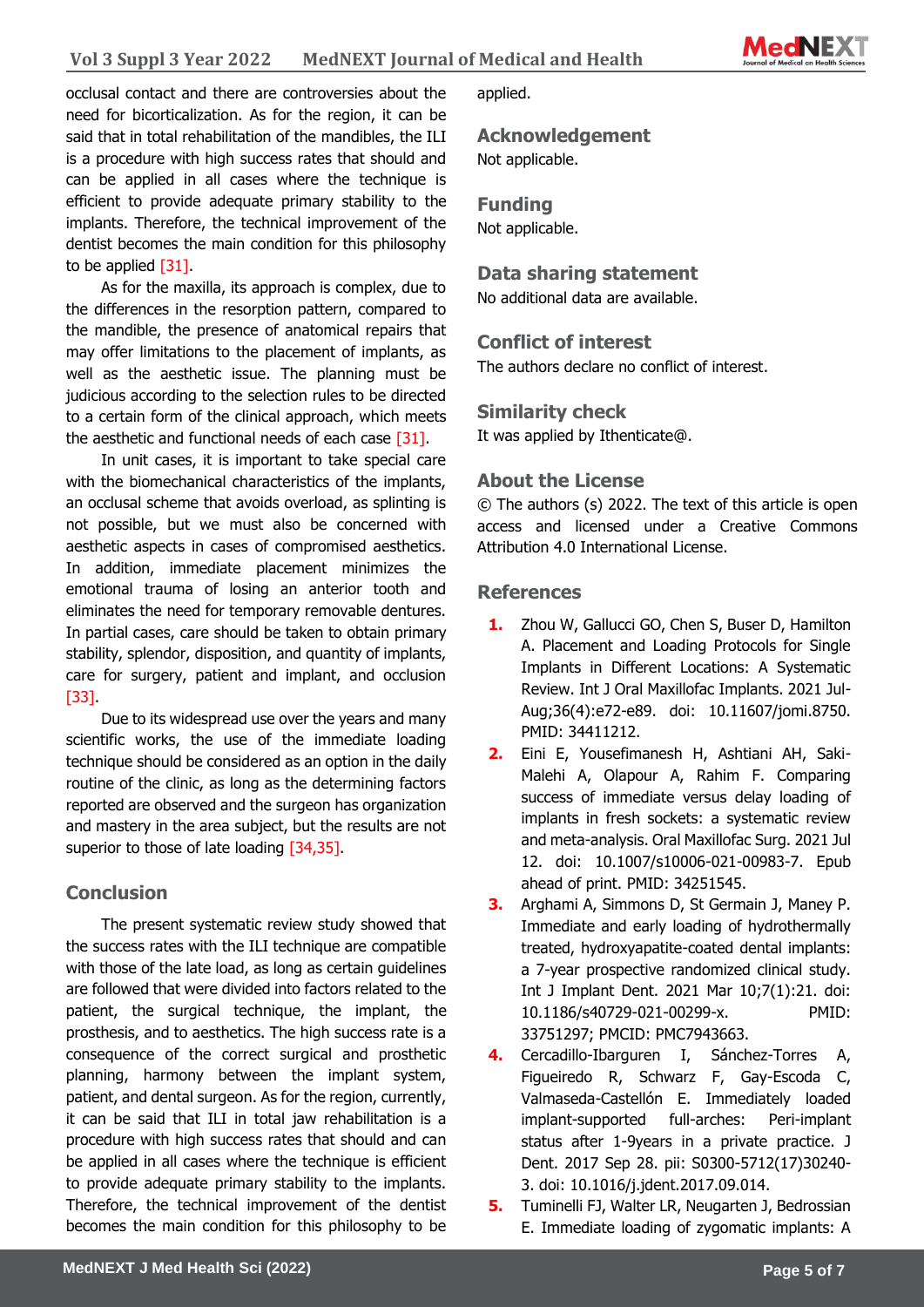

occlusal contact and there are controversies about the need for bicorticalization. As for the region, it can be said that in total rehabilitation of the mandibles, the ILI is a procedure with high success rates that should and can be applied in all cases where the technique is efficient to provide adequate primary stability to the implants. Therefore, the technical improvement of the dentist becomes the main condition for this philosophy to be applied [31].

As for the maxilla, its approach is complex, due to the differences in the resorption pattern, compared to the mandible, the presence of anatomical repairs that may offer limitations to the placement of implants, as well as the aesthetic issue. The planning must be judicious according to the selection rules to be directed to a certain form of the clinical approach, which meets the aesthetic and functional needs of each case [31].

In unit cases, it is important to take special care with the biomechanical characteristics of the implants, an occlusal scheme that avoids overload, as splinting is not possible, but we must also be concerned with aesthetic aspects in cases of compromised aesthetics. In addition, immediate placement minimizes the emotional trauma of losing an anterior tooth and eliminates the need for temporary removable dentures. In partial cases, care should be taken to obtain primary stability, splendor, disposition, and quantity of implants, care for surgery, patient and implant, and occlusion [33].

Due to its widespread use over the years and many scientific works, the use of the immediate loading technique should be considered as an option in the daily routine of the clinic, as long as the determining factors reported are observed and the surgeon has organization and mastery in the area subject, but the results are not superior to those of late loading [34,35].

# **Conclusion**

The present systematic review study showed that the success rates with the ILI technique are compatible with those of the late load, as long as certain guidelines are followed that were divided into factors related to the patient, the surgical technique, the implant, the prosthesis, and to aesthetics. The high success rate is a consequence of the correct surgical and prosthetic planning, harmony between the implant system, patient, and dental surgeon. As for the region, currently, it can be said that ILI in total jaw rehabilitation is a procedure with high success rates that should and can be applied in all cases where the technique is efficient to provide adequate primary stability to the implants. Therefore, the technical improvement of the dentist becomes the main condition for this philosophy to be

applied.

**Acknowledgement**

Not applicable.

### **Funding**

Not applicable.

#### **Data sharing statement**

No additional data are available.

### **Conflict of interest**

The authors declare no conflict of interest.

### **Similarity check**

It was applied by Ithenticate@.

# **About the License**

© The authors (s) 2022. The text of this article is open access and licensed under a Creative Commons Attribution 4.0 International License.

#### **References**

- **1.** Zhou W, Gallucci GO, Chen S, Buser D, Hamilton A. Placement and Loading Protocols for Single Implants in Different Locations: A Systematic Review. Int J Oral Maxillofac Implants. 2021 Jul-Aug;36(4):e72-e89. doi: 10.11607/jomi.8750. PMID: 34411212.
- **2.** Eini E, Yousefimanesh H, Ashtiani AH, Saki-Malehi A, Olapour A, Rahim F. Comparing success of immediate versus delay loading of implants in fresh sockets: a systematic review and meta-analysis. Oral Maxillofac Surg. 2021 Jul 12. doi: 10.1007/s10006-021-00983-7. Epub ahead of print. PMID: 34251545.
- **3.** Arghami A, Simmons D, St Germain J, Maney P. Immediate and early loading of hydrothermally treated, hydroxyapatite-coated dental implants: a 7-year prospective randomized clinical study. Int J Implant Dent. 2021 Mar 10;7(1):21. doi: 10.1186/s40729-021-00299-x. PMID: 33751297; PMCID: PMC7943663.
- **4.** Cercadillo-Ibarguren I, Sánchez-Torres A, Figueiredo R, Schwarz F, Gay-Escoda C, Valmaseda-Castellón E. Immediately loaded implant-supported full-arches: Peri-implant status after 1-9years in a private practice. J Dent. 2017 Sep 28. pii: S0300-5712(17)30240- 3. doi: 10.1016/j.jdent.2017.09.014.
- **5.** Tuminelli FJ, Walter LR, Neugarten J, Bedrossian E. Immediate loading of zygomatic implants: A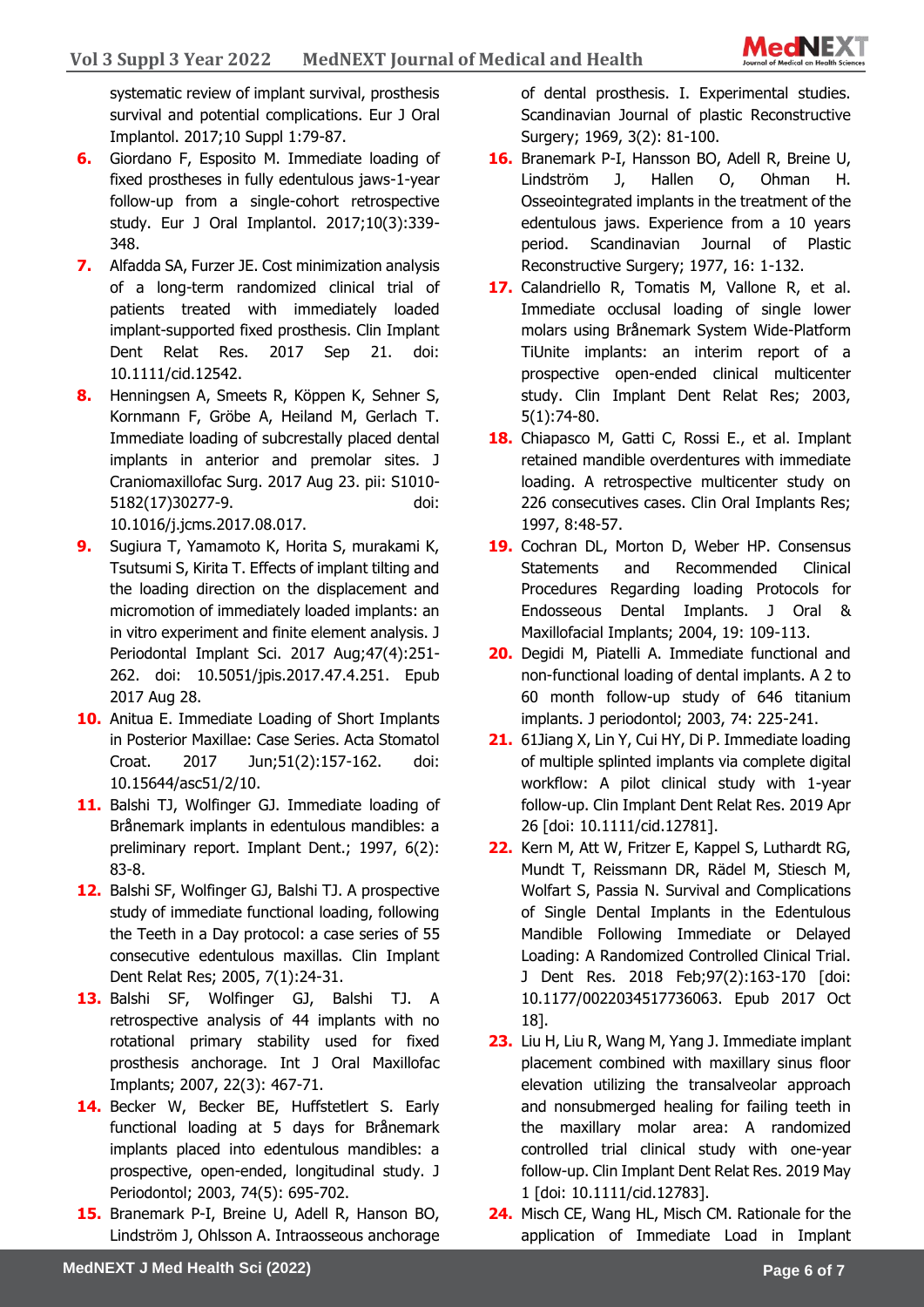systematic review of implant survival, prosthesis survival and potential complications. Eur J Oral Implantol. 2017;10 Suppl 1:79-87.

- **6.** Giordano F, Esposito M. Immediate loading of fixed prostheses in fully edentulous jaws-1-year follow-up from a single-cohort retrospective study. Eur J Oral Implantol. 2017;10(3):339- 348.
- **7.** Alfadda SA, Furzer JE. Cost minimization analysis of a long-term randomized clinical trial of patients treated with immediately loaded implant-supported fixed prosthesis. Clin Implant Dent Relat Res. 2017 Sep 21. doi: 10.1111/cid.12542.
- **8.** Henningsen A, Smeets R, Köppen K, Sehner S, Kornmann F, Gröbe A, Heiland M, Gerlach T. Immediate loading of subcrestally placed dental implants in anterior and premolar sites. J Craniomaxillofac Surg. 2017 Aug 23. pii: S1010- 5182(17)30277-9. doi: 10.1016/j.jcms.2017.08.017.
- **9.** Sugiura T, Yamamoto K, Horita S, murakami K, Tsutsumi S, Kirita T. Effects of implant tilting and the loading direction on the displacement and micromotion of immediately loaded implants: an in vitro experiment and finite element analysis. J Periodontal Implant Sci. 2017 Aug;47(4):251- 262. doi: 10.5051/jpis.2017.47.4.251. Epub 2017 Aug 28.
- **10.** Anitua E. Immediate Loading of Short Implants in Posterior Maxillae: Case Series. Acta Stomatol Croat. 2017 Jun;51(2):157-162. doi: 10.15644/asc51/2/10.
- **11.** Balshi TJ, Wolfinger GJ. Immediate loading of Brånemark implants in edentulous mandibles: a preliminary report. Implant Dent.; 1997, 6(2): 83-8.
- **12.** Balshi SF, Wolfinger GJ, Balshi TJ. A prospective study of immediate functional loading, following the Teeth in a Day protocol: a case series of 55 consecutive edentulous maxillas. Clin Implant Dent Relat Res; 2005, 7(1):24-31.
- **13.** Balshi SF, Wolfinger GJ, Balshi TJ. A retrospective analysis of 44 implants with no rotational primary stability used for fixed prosthesis anchorage. Int J Oral Maxillofac Implants; 2007, 22(3): 467-71.
- 14. Becker W, Becker BE, Huffstetlert S. Early functional loading at 5 days for Brånemark implants placed into edentulous mandibles: a prospective, open-ended, longitudinal study. J Periodontol; 2003, 74(5): 695-702.
- **15.** Branemark P-I, Breine U, Adell R, Hanson BO, Lindström J, Ohlsson A. Intraosseous anchorage

of dental prosthesis. I. Experimental studies. Scandinavian Journal of plastic Reconstructive Surgery; 1969, 3(2): 81-100.

- **16.** Branemark P-I, Hansson BO, Adell R, Breine U, Lindström J, Hallen O, Ohman H. Osseointegrated implants in the treatment of the edentulous jaws. Experience from a 10 years period. Scandinavian Journal of Plastic Reconstructive Surgery; 1977, 16: 1-132.
- **17.** Calandriello R, Tomatis M, Vallone R, et al. Immediate occlusal loading of single lower molars using Brånemark System Wide-Platform TiUnite implants: an interim report of a prospective open-ended clinical multicenter study. Clin Implant Dent Relat Res; 2003, 5(1):74-80.
- **18.** Chiapasco M, Gatti C, Rossi E., et al. Implant retained mandible overdentures with immediate loading. A retrospective multicenter study on 226 consecutives cases. Clin Oral Implants Res; 1997, 8:48-57.
- **19.** Cochran DL, Morton D, Weber HP. Consensus Statements and Recommended Clinical Procedures Regarding loading Protocols for Endosseous Dental Implants. J Oral & Maxillofacial Implants; 2004, 19: 109-113.
- **20.** Degidi M, Piatelli A. Immediate functional and non-functional loading of dental implants. A 2 to 60 month follow-up study of 646 titanium implants. J periodontol; 2003, 74: 225-241.
- **21.** 61Jiang X, Lin Y, Cui HY, Di P. Immediate loading of multiple splinted implants via complete digital workflow: A pilot clinical study with 1-year follow-up. Clin Implant Dent Relat Res. 2019 Apr 26 [doi: 10.1111/cid.12781].
- **22.** Kern M, Att W, Fritzer E, Kappel S, Luthardt RG, Mundt T, Reissmann DR, Rädel M, Stiesch M, Wolfart S, Passia N. Survival and Complications of Single Dental Implants in the Edentulous Mandible Following Immediate or Delayed Loading: A Randomized Controlled Clinical Trial. J Dent Res. 2018 Feb;97(2):163-170 [doi: 10.1177/0022034517736063. Epub 2017 Oct 18].
- **23.** Liu H, Liu R, Wang M, Yang J. Immediate implant placement combined with maxillary sinus floor elevation utilizing the transalveolar approach and nonsubmerged healing for failing teeth in the maxillary molar area: A randomized controlled trial clinical study with one-year follow-up. Clin Implant Dent Relat Res. 2019 May 1 [doi: 10.1111/cid.12783].
- **24.** Misch CE, Wang HL, Misch CM. Rationale for the application of Immediate Load in Implant